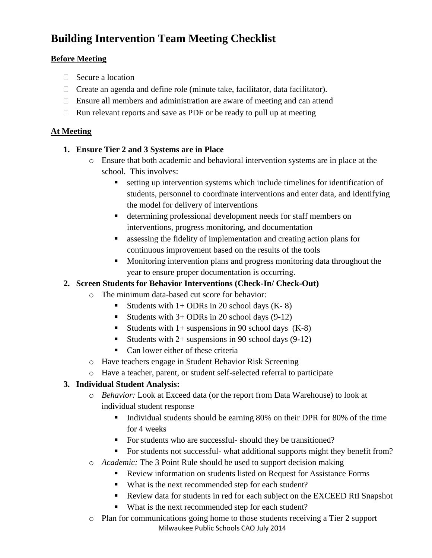# **Building Intervention Team Meeting Checklist**

### **Before Meeting**

- $\Box$  Secure a location
- $\Box$  Create an agenda and define role (minute take, facilitator, data facilitator).
- $\Box$  Ensure all members and administration are aware of meeting and can attend
- $\Box$  Run relevant reports and save as PDF or be ready to pull up at meeting

### **At Meeting**

### **1. Ensure Tier 2 and 3 Systems are in Place**

- o Ensure that both academic and behavioral intervention systems are in place at the school. This involves:
	- setting up intervention systems which include timelines for identification of students, personnel to coordinate interventions and enter data, and identifying the model for delivery of interventions
	- determining professional development needs for staff members on interventions, progress monitoring, and documentation
	- assessing the fidelity of implementation and creating action plans for continuous improvement based on the results of the tools
	- Monitoring intervention plans and progress monitoring data throughout the year to ensure proper documentation is occurring.

### **2. Screen Students for Behavior Interventions (Check-In/ Check-Out)**

- o The minimum data-based cut score for behavior:
	- Students with  $1+$  ODRs in 20 school days  $(K-8)$
	- Students with  $3+$  ODRs in 20 school days (9-12)
	- Students with  $1+$  suspensions in 90 school days  $(K-8)$
	- Students with  $2+$  suspensions in 90 school days (9-12)
	- Can lower either of these criteria
- o Have teachers engage in Student Behavior Risk Screening
- o Have a teacher, parent, or student self-selected referral to participate

## **3. Individual Student Analysis:**

- o *Behavior:* Look at Exceed data (or the report from Data Warehouse) to look at individual student response
	- Individual students should be earning 80% on their DPR for 80% of the time for 4 weeks
	- For students who are successful-should they be transitioned?
	- For students not successful- what additional supports might they benefit from?
- o *Academic:* The 3 Point Rule should be used to support decision making
	- Review information on students listed on Request for Assistance Forms
	- What is the next recommended step for each student?
	- Review data for students in red for each subject on the EXCEED RtI Snapshot
	- What is the next recommended step for each student?
- Milwaukee Public Schools CAO July 2014 o Plan for communications going home to those students receiving a Tier 2 support